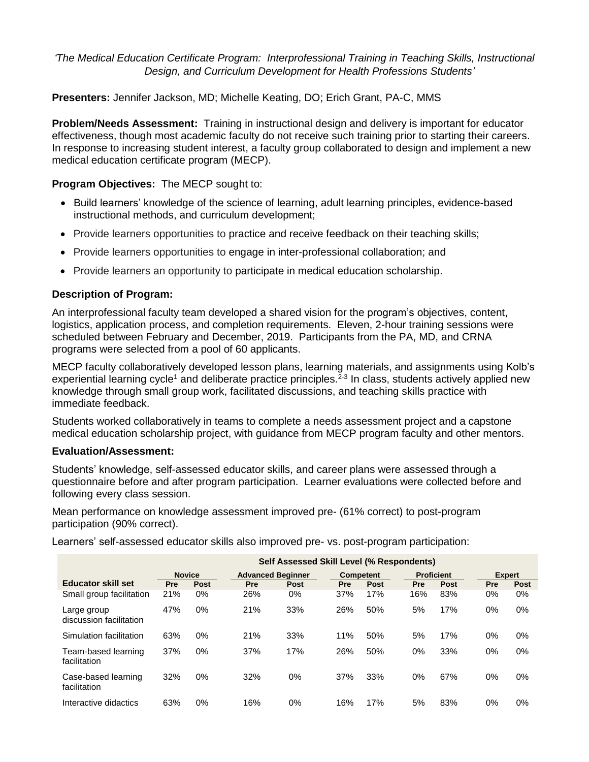*'The Medical Education Certificate Program: Interprofessional Training in Teaching Skills, Instructional Design, and Curriculum Development for Health Professions Students'*

**Presenters:** Jennifer Jackson, MD; Michelle Keating, DO; Erich Grant, PA-C, MMS

**Problem/Needs Assessment:** Training in instructional design and delivery is important for educator effectiveness, though most academic faculty do not receive such training prior to starting their careers. In response to increasing student interest, a faculty group collaborated to design and implement a new medical education certificate program (MECP).

# **Program Objectives:** The MECP sought to:

- Build learners' knowledge of the science of learning, adult learning principles, evidence-based instructional methods, and curriculum development;
- Provide learners opportunities to practice and receive feedback on their teaching skills;
- Provide learners opportunities to engage in inter-professional collaboration; and
- Provide learners an opportunity to participate in medical education scholarship.

# **Description of Program:**

An interprofessional faculty team developed a shared vision for the program's objectives, content, logistics, application process, and completion requirements. Eleven, 2-hour training sessions were scheduled between February and December, 2019. Participants from the PA, MD, and CRNA programs were selected from a pool of 60 applicants.

MECP faculty collaboratively developed lesson plans, learning materials, and assignments using Kolb's experiential learning cycle<sup>1</sup> and deliberate practice principles.<sup>2-3</sup> In class, students actively applied new knowledge through small group work, facilitated discussions, and teaching skills practice with immediate feedback.

Students worked collaboratively in teams to complete a needs assessment project and a capstone medical education scholarship project, with guidance from MECP program faculty and other mentors.

## **Evaluation/Assessment:**

Students' knowledge, self-assessed educator skills, and career plans were assessed through a questionnaire before and after program participation. Learner evaluations were collected before and following every class session.

Mean performance on knowledge assessment improved pre- (61% correct) to post-program participation (90% correct).

Learners' self-assessed educator skills also improved pre- vs. post-program participation:

|                                        | Self Assessed Skill Level (% Respondents) |             |                          |       |                  |             |                   |      |               |       |
|----------------------------------------|-------------------------------------------|-------------|--------------------------|-------|------------------|-------------|-------------------|------|---------------|-------|
|                                        | <b>Novice</b>                             |             | <b>Advanced Beginner</b> |       | <b>Competent</b> |             | <b>Proficient</b> |      | <b>Expert</b> |       |
| <b>Educator skill set</b>              | Pre                                       | <b>Post</b> | Pre                      | Post  | <b>Pre</b>       | <b>Post</b> | <b>Pre</b>        | Post | <b>Pre</b>    | Post  |
| Small group facilitation               | 21%                                       | 0%          | 26%                      | 0%    | 37%              | 17%         | 16%               | 83%  | $0\%$         | $0\%$ |
| Large group<br>discussion facilitation | 47%                                       | 0%          | 21%                      | 33%   | 26%              | 50%         | 5%                | 17%  | 0%            | $0\%$ |
| Simulation facilitation                | 63%                                       | 0%          | 21%                      | 33%   | 11%              | 50%         | 5%                | 17%  | 0%            | $0\%$ |
| Team-based learning<br>facilitation    | 37%                                       | 0%          | 37%                      | 17%   | 26%              | 50%         | $0\%$             | 33%  | $0\%$         | $0\%$ |
| Case-based learning<br>facilitation    | 32%                                       | 0%          | 32%                      | 0%    | 37%              | 33%         | $0\%$             | 67%  | $0\%$         | $0\%$ |
| Interactive didactics                  | 63%                                       | 0%          | 16%                      | $0\%$ | 16%              | 17%         | 5%                | 83%  | 0%            | $0\%$ |